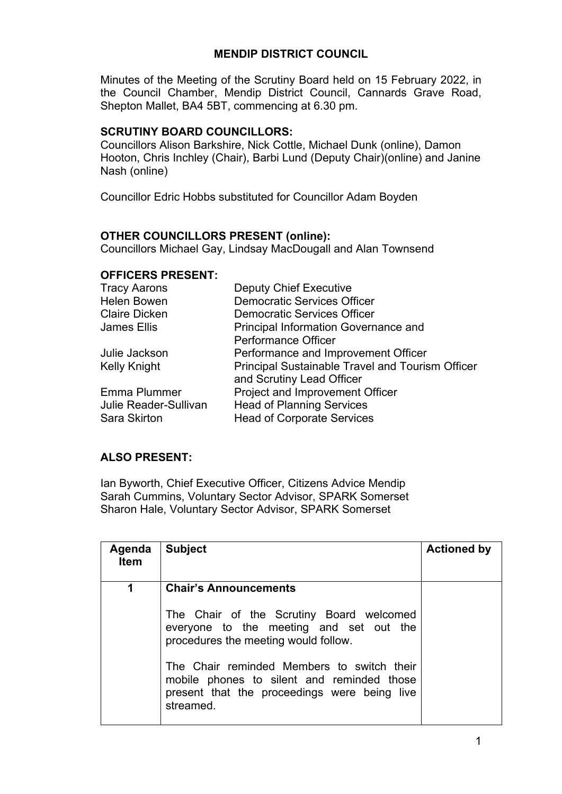# **MENDIP DISTRICT COUNCIL**

Minutes of the Meeting of the Scrutiny Board held on 15 February 2022, in the Council Chamber, Mendip District Council, Cannards Grave Road, Shepton Mallet, BA4 5BT, commencing at 6.30 pm.

### **SCRUTINY BOARD COUNCILLORS:**

Councillors Alison Barkshire, Nick Cottle, Michael Dunk (online), Damon Hooton, Chris Inchley (Chair), Barbi Lund (Deputy Chair)(online) and Janine Nash (online)

Councillor Edric Hobbs substituted for Councillor Adam Boyden

## **OTHER COUNCILLORS PRESENT (online):**

Councillors Michael Gay, Lindsay MacDougall and Alan Townsend

#### **OFFICERS PRESENT:**

| <b>Tracy Aarons</b>   | <b>Deputy Chief Executive</b>                    |
|-----------------------|--------------------------------------------------|
| <b>Helen Bowen</b>    | <b>Democratic Services Officer</b>               |
| <b>Claire Dicken</b>  | <b>Democratic Services Officer</b>               |
| James Ellis           | <b>Principal Information Governance and</b>      |
|                       | <b>Performance Officer</b>                       |
| Julie Jackson         | Performance and Improvement Officer              |
| <b>Kelly Knight</b>   | Principal Sustainable Travel and Tourism Officer |
|                       | and Scrutiny Lead Officer                        |
| <b>Emma Plummer</b>   | Project and Improvement Officer                  |
| Julie Reader-Sullivan | <b>Head of Planning Services</b>                 |
| <b>Sara Skirton</b>   | <b>Head of Corporate Services</b>                |

## **ALSO PRESENT:**

Ian Byworth, Chief Executive Officer, Citizens Advice Mendip Sarah Cummins, Voluntary Sector Advisor, SPARK Somerset Sharon Hale, Voluntary Sector Advisor, SPARK Somerset

| Agenda<br><b>Item</b> | <b>Subject</b>                                                                                                                                              | <b>Actioned by</b> |
|-----------------------|-------------------------------------------------------------------------------------------------------------------------------------------------------------|--------------------|
| 1                     | <b>Chair's Announcements</b><br>The Chair of the Scrutiny Board welcomed<br>everyone to the meeting and set out the<br>procedures the meeting would follow. |                    |
|                       | The Chair reminded Members to switch their<br>mobile phones to silent and reminded those<br>present that the proceedings were being live<br>streamed.       |                    |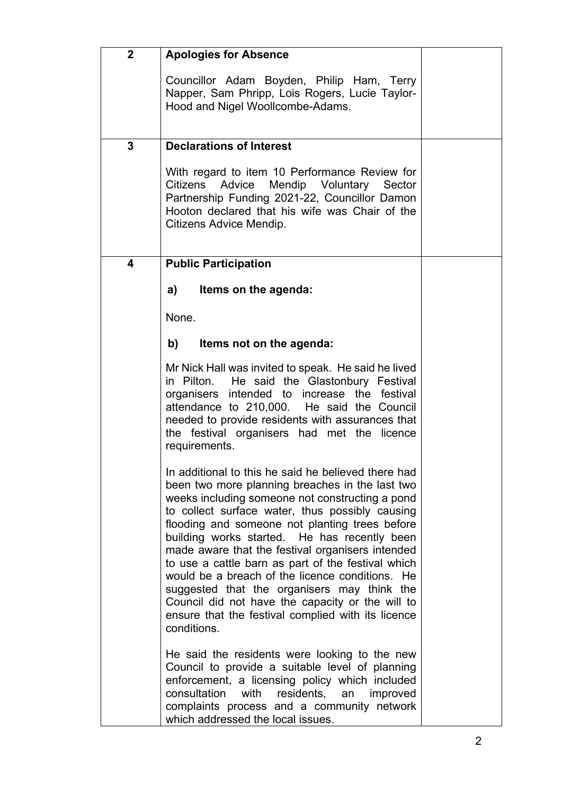| $\mathbf{2}$ | <b>Apologies for Absence</b>                                                                                                                                                                                                                                                                                                                                                                                                                                                                                                                                                                                                                        |  |
|--------------|-----------------------------------------------------------------------------------------------------------------------------------------------------------------------------------------------------------------------------------------------------------------------------------------------------------------------------------------------------------------------------------------------------------------------------------------------------------------------------------------------------------------------------------------------------------------------------------------------------------------------------------------------------|--|
|              | Councillor Adam Boyden, Philip Ham, Terry<br>Napper, Sam Phripp, Lois Rogers, Lucie Taylor-<br>Hood and Nigel Woollcombe-Adams.                                                                                                                                                                                                                                                                                                                                                                                                                                                                                                                     |  |
| 3            | <b>Declarations of Interest</b>                                                                                                                                                                                                                                                                                                                                                                                                                                                                                                                                                                                                                     |  |
|              | With regard to item 10 Performance Review for<br>Citizens Advice Mendip Voluntary Sector<br>Partnership Funding 2021-22, Councillor Damon<br>Hooton declared that his wife was Chair of the<br>Citizens Advice Mendip.                                                                                                                                                                                                                                                                                                                                                                                                                              |  |
| 4            | <b>Public Participation</b>                                                                                                                                                                                                                                                                                                                                                                                                                                                                                                                                                                                                                         |  |
|              | a)<br>Items on the agenda:                                                                                                                                                                                                                                                                                                                                                                                                                                                                                                                                                                                                                          |  |
|              | None.                                                                                                                                                                                                                                                                                                                                                                                                                                                                                                                                                                                                                                               |  |
|              | b)<br>Items not on the agenda:                                                                                                                                                                                                                                                                                                                                                                                                                                                                                                                                                                                                                      |  |
|              | Mr Nick Hall was invited to speak. He said he lived<br>in Pilton. He said the Glastonbury Festival<br>organisers intended to increase the festival<br>attendance to 210,000. He said the Council<br>needed to provide residents with assurances that<br>the festival organisers had met the licence<br>requirements.                                                                                                                                                                                                                                                                                                                                |  |
|              | In additional to this he said he believed there had<br>been two more planning breaches in the last two<br>weeks including someone not constructing a pond<br>to collect surface water, thus possibly causing<br>flooding and someone not planting trees before<br>building works started. He has recently been<br>made aware that the festival organisers intended<br>to use a cattle barn as part of the festival which<br>would be a breach of the licence conditions. He<br>suggested that the organisers may think the<br>Council did not have the capacity or the will to<br>ensure that the festival complied with its licence<br>conditions. |  |
|              | He said the residents were looking to the new<br>Council to provide a suitable level of planning<br>enforcement, a licensing policy which included<br>consultation<br>with<br>residents,<br>an<br>improved<br>complaints process and a community network<br>which addressed the local issues.                                                                                                                                                                                                                                                                                                                                                       |  |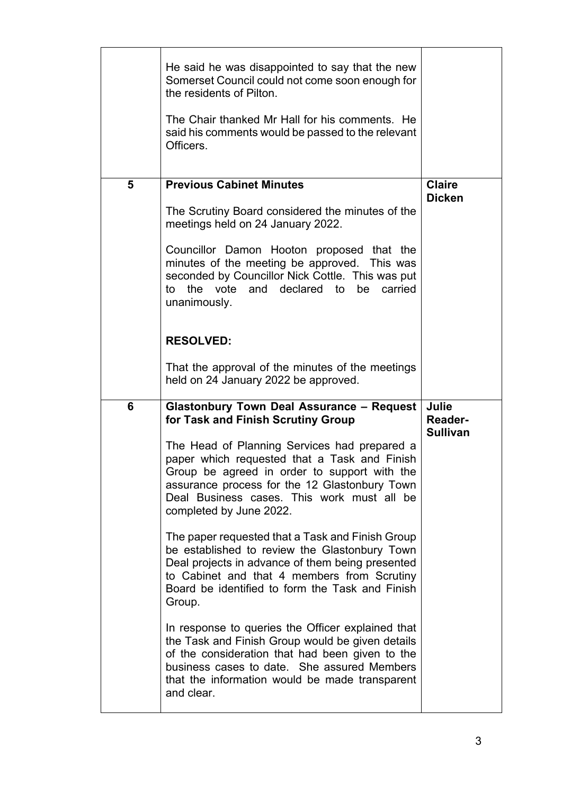|   | He said he was disappointed to say that the new<br>Somerset Council could not come soon enough for<br>the residents of Pilton.<br>The Chair thanked Mr Hall for his comments. He<br>said his comments would be passed to the relevant<br>Officers.                      |                                            |
|---|-------------------------------------------------------------------------------------------------------------------------------------------------------------------------------------------------------------------------------------------------------------------------|--------------------------------------------|
| 5 | <b>Previous Cabinet Minutes</b>                                                                                                                                                                                                                                         | <b>Claire</b><br><b>Dicken</b>             |
|   | The Scrutiny Board considered the minutes of the<br>meetings held on 24 January 2022.                                                                                                                                                                                   |                                            |
|   | Councillor Damon Hooton proposed that the<br>minutes of the meeting be approved. This was<br>seconded by Councillor Nick Cottle. This was put<br>to the vote and declared to be carried<br>unanimously.                                                                 |                                            |
|   | <b>RESOLVED:</b>                                                                                                                                                                                                                                                        |                                            |
|   | That the approval of the minutes of the meetings<br>held on 24 January 2022 be approved.                                                                                                                                                                                |                                            |
| 6 | <b>Glastonbury Town Deal Assurance - Request</b><br>for Task and Finish Scrutiny Group                                                                                                                                                                                  | Julie<br><b>Reader-</b><br><b>Sullivan</b> |
|   | The Head of Planning Services had prepared a<br>paper which requested that a Task and Finish<br>Group be agreed in order to support with the<br>assurance process for the 12 Glastonbury Town<br>Deal Business cases. This work must all be<br>completed by June 2022.  |                                            |
|   | The paper requested that a Task and Finish Group<br>be established to review the Glastonbury Town<br>Deal projects in advance of them being presented<br>to Cabinet and that 4 members from Scrutiny<br>Board be identified to form the Task and Finish<br>Group.       |                                            |
|   | In response to queries the Officer explained that<br>the Task and Finish Group would be given details<br>of the consideration that had been given to the<br>business cases to date. She assured Members<br>that the information would be made transparent<br>and clear. |                                            |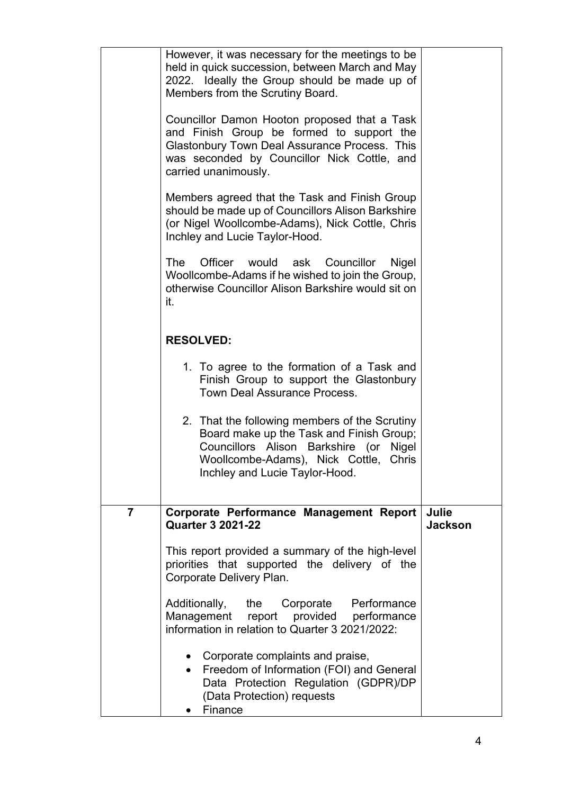|                | However, it was necessary for the meetings to be<br>held in quick succession, between March and May<br>2022. Ideally the Group should be made up of<br>Members from the Scrutiny Board.                              |                         |
|----------------|----------------------------------------------------------------------------------------------------------------------------------------------------------------------------------------------------------------------|-------------------------|
|                | Councillor Damon Hooton proposed that a Task<br>and Finish Group be formed to support the<br>Glastonbury Town Deal Assurance Process. This<br>was seconded by Councillor Nick Cottle, and<br>carried unanimously.    |                         |
|                | Members agreed that the Task and Finish Group<br>should be made up of Councillors Alison Barkshire<br>(or Nigel Woollcombe-Adams), Nick Cottle, Chris<br>Inchley and Lucie Taylor-Hood.                              |                         |
|                | Officer would ask Councillor<br>The<br>Nigel<br>Woollcombe-Adams if he wished to join the Group,<br>otherwise Councillor Alison Barkshire would sit on<br>it.                                                        |                         |
|                | <b>RESOLVED:</b>                                                                                                                                                                                                     |                         |
|                | 1. To agree to the formation of a Task and<br>Finish Group to support the Glastonbury<br><b>Town Deal Assurance Process.</b>                                                                                         |                         |
|                | 2. That the following members of the Scrutiny<br>Board make up the Task and Finish Group;<br>Councillors Alison Barkshire (or<br>Nigel<br>Woollcombe-Adams), Nick Cottle,<br>Chris<br>Inchley and Lucie Taylor-Hood. |                         |
| $\overline{7}$ | Corporate Performance Management Report<br><b>Quarter 3 2021-22</b>                                                                                                                                                  | Julie<br><b>Jackson</b> |
|                | This report provided a summary of the high-level<br>priorities that supported the delivery of the<br>Corporate Delivery Plan.                                                                                        |                         |
|                | Additionally,<br>the Corporate Performance<br>Management<br>provided performance<br>report<br>information in relation to Quarter 3 2021/2022:                                                                        |                         |
|                | Corporate complaints and praise,<br>Freedom of Information (FOI) and General<br>$\bullet$<br>Data Protection Regulation (GDPR)/DP<br>(Data Protection) requests<br>Finance                                           |                         |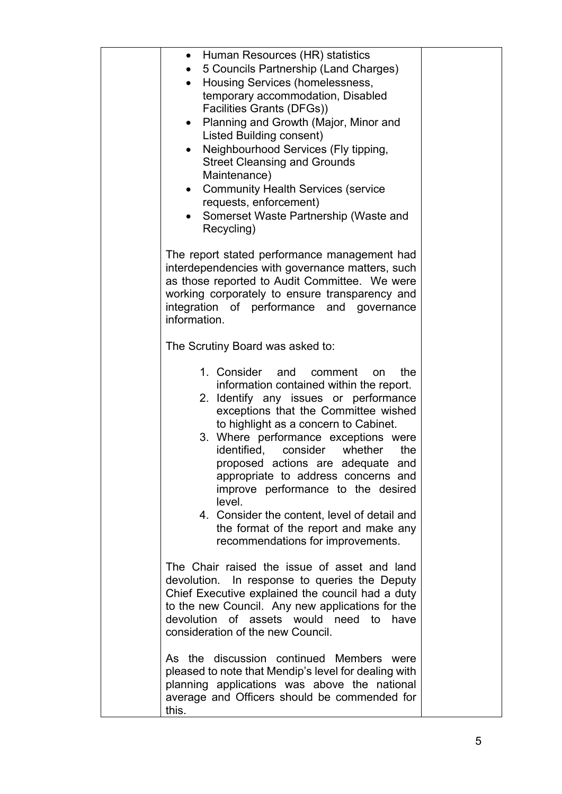| Human Resources (HR) statistics<br>٠<br>5 Councils Partnership (Land Charges)<br>Housing Services (homelessness,<br>temporary accommodation, Disabled<br>Facilities Grants (DFGs))<br>Planning and Growth (Major, Minor and<br>Listed Building consent)<br>Neighbourhood Services (Fly tipping,<br>$\bullet$<br><b>Street Cleansing and Grounds</b><br>Maintenance)<br><b>Community Health Services (service</b><br>$\bullet$<br>requests, enforcement)<br>Somerset Waste Partnership (Waste and<br>Recycling)                                               |  |
|--------------------------------------------------------------------------------------------------------------------------------------------------------------------------------------------------------------------------------------------------------------------------------------------------------------------------------------------------------------------------------------------------------------------------------------------------------------------------------------------------------------------------------------------------------------|--|
| The report stated performance management had<br>interdependencies with governance matters, such<br>as those reported to Audit Committee. We were<br>working corporately to ensure transparency and<br>integration of performance and governance<br>information.                                                                                                                                                                                                                                                                                              |  |
| The Scrutiny Board was asked to:                                                                                                                                                                                                                                                                                                                                                                                                                                                                                                                             |  |
| 1. Consider<br>the<br>and<br>comment<br>on<br>information contained within the report.<br>2. Identify any issues or performance<br>exceptions that the Committee wished<br>to highlight as a concern to Cabinet.<br>3. Where performance exceptions were<br>identified, consider whether<br>the<br>proposed actions are adequate<br>and<br>appropriate to address concerns and<br>improve performance to the desired<br>level.<br>4. Consider the content, level of detail and<br>the format of the report and make any<br>recommendations for improvements. |  |
| The Chair raised the issue of asset and land<br>devolution. In response to queries the Deputy<br>Chief Executive explained the council had a duty<br>to the new Council. Any new applications for the<br>devolution of assets would need to<br>have<br>consideration of the new Council.                                                                                                                                                                                                                                                                     |  |
| As the discussion continued Members were<br>pleased to note that Mendip's level for dealing with<br>planning applications was above the national<br>average and Officers should be commended for<br>this.                                                                                                                                                                                                                                                                                                                                                    |  |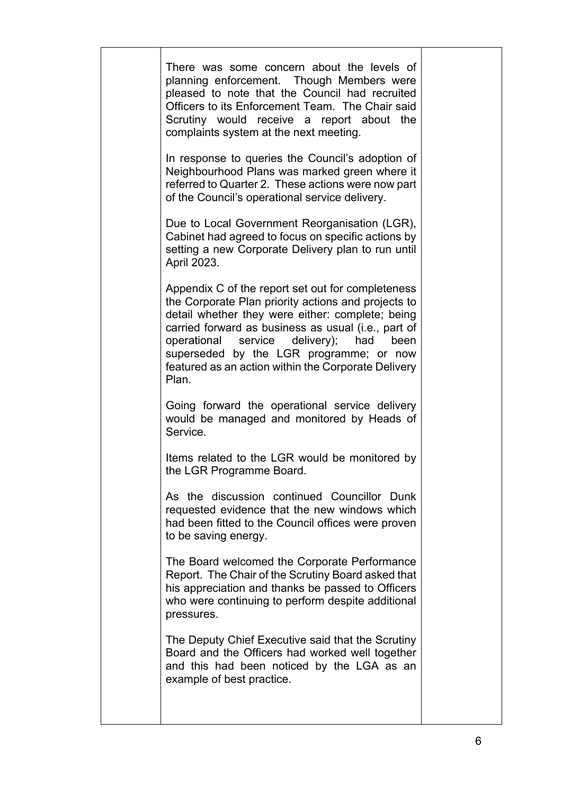| There was some concern about the levels of<br>planning enforcement. Though Members were<br>pleased to note that the Council had recruited<br>Officers to its Enforcement Team. The Chair said<br>Scrutiny would receive a report about the<br>complaints system at the next meeting.<br>In response to queries the Council's adoption of<br>Neighbourhood Plans was marked green where it<br>referred to Quarter 2. These actions were now part<br>of the Council's operational service delivery.<br>Due to Local Government Reorganisation (LGR),<br>Cabinet had agreed to focus on specific actions by<br>setting a new Corporate Delivery plan to run until<br>April 2023.<br>Appendix C of the report set out for completeness<br>the Corporate Plan priority actions and projects to<br>detail whether they were either: complete; being<br>carried forward as business as usual (i.e., part of<br>operational service delivery);<br>had<br>been<br>superseded by the LGR programme; or now<br>featured as an action within the Corporate Delivery<br>Plan.<br>Going forward the operational service delivery<br>would be managed and monitored by Heads of<br>Service.<br>Items related to the LGR would be monitored by<br>the LGR Programme Board.<br>As the discussion continued Councillor Dunk<br>requested evidence that the new windows which<br>had been fitted to the Council offices were proven<br>to be saving energy.<br>The Board welcomed the Corporate Performance<br>Report. The Chair of the Scrutiny Board asked that<br>his appreciation and thanks be passed to Officers<br>who were continuing to perform despite additional |
|----------------------------------------------------------------------------------------------------------------------------------------------------------------------------------------------------------------------------------------------------------------------------------------------------------------------------------------------------------------------------------------------------------------------------------------------------------------------------------------------------------------------------------------------------------------------------------------------------------------------------------------------------------------------------------------------------------------------------------------------------------------------------------------------------------------------------------------------------------------------------------------------------------------------------------------------------------------------------------------------------------------------------------------------------------------------------------------------------------------------------------------------------------------------------------------------------------------------------------------------------------------------------------------------------------------------------------------------------------------------------------------------------------------------------------------------------------------------------------------------------------------------------------------------------------------------------------------------------------------------------------------------------------|
| pressures.                                                                                                                                                                                                                                                                                                                                                                                                                                                                                                                                                                                                                                                                                                                                                                                                                                                                                                                                                                                                                                                                                                                                                                                                                                                                                                                                                                                                                                                                                                                                                                                                                                               |
| The Deputy Chief Executive said that the Scrutiny<br>Board and the Officers had worked well together<br>and this had been noticed by the LGA as an<br>example of best practice.                                                                                                                                                                                                                                                                                                                                                                                                                                                                                                                                                                                                                                                                                                                                                                                                                                                                                                                                                                                                                                                                                                                                                                                                                                                                                                                                                                                                                                                                          |
|                                                                                                                                                                                                                                                                                                                                                                                                                                                                                                                                                                                                                                                                                                                                                                                                                                                                                                                                                                                                                                                                                                                                                                                                                                                                                                                                                                                                                                                                                                                                                                                                                                                          |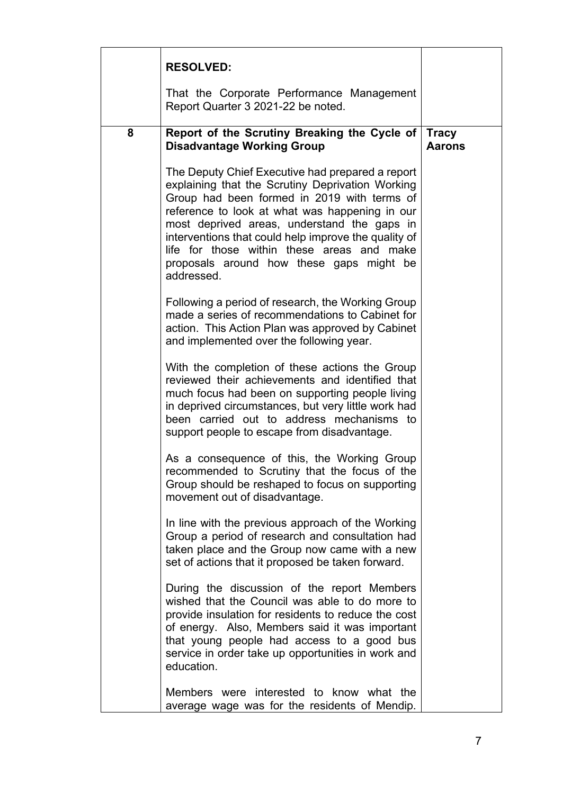|   | <b>RESOLVED:</b>                                                                                                                                                                                                                                                                                                                                                                                                     |                               |
|---|----------------------------------------------------------------------------------------------------------------------------------------------------------------------------------------------------------------------------------------------------------------------------------------------------------------------------------------------------------------------------------------------------------------------|-------------------------------|
|   | That the Corporate Performance Management<br>Report Quarter 3 2021-22 be noted.                                                                                                                                                                                                                                                                                                                                      |                               |
| 8 | Report of the Scrutiny Breaking the Cycle of<br><b>Disadvantage Working Group</b>                                                                                                                                                                                                                                                                                                                                    | <b>Tracy</b><br><b>Aarons</b> |
|   | The Deputy Chief Executive had prepared a report<br>explaining that the Scrutiny Deprivation Working<br>Group had been formed in 2019 with terms of<br>reference to look at what was happening in our<br>most deprived areas, understand the gaps in<br>interventions that could help improve the quality of<br>life for those within these areas and make<br>proposals around how these gaps might be<br>addressed. |                               |
|   | Following a period of research, the Working Group<br>made a series of recommendations to Cabinet for<br>action. This Action Plan was approved by Cabinet<br>and implemented over the following year.                                                                                                                                                                                                                 |                               |
|   | With the completion of these actions the Group<br>reviewed their achievements and identified that<br>much focus had been on supporting people living<br>in deprived circumstances, but very little work had<br>been carried out to address mechanisms to<br>support people to escape from disadvantage.                                                                                                              |                               |
|   | As a consequence of this, the Working Group<br>recommended to Scrutiny that the focus of the<br>Group should be reshaped to focus on supporting<br>movement out of disadvantage.                                                                                                                                                                                                                                     |                               |
|   | In line with the previous approach of the Working<br>Group a period of research and consultation had<br>taken place and the Group now came with a new<br>set of actions that it proposed be taken forward.                                                                                                                                                                                                           |                               |
|   | During the discussion of the report Members<br>wished that the Council was able to do more to<br>provide insulation for residents to reduce the cost<br>of energy. Also, Members said it was important<br>that young people had access to a good bus<br>service in order take up opportunities in work and<br>education.                                                                                             |                               |
|   | Members were interested to know what the<br>average wage was for the residents of Mendip.                                                                                                                                                                                                                                                                                                                            |                               |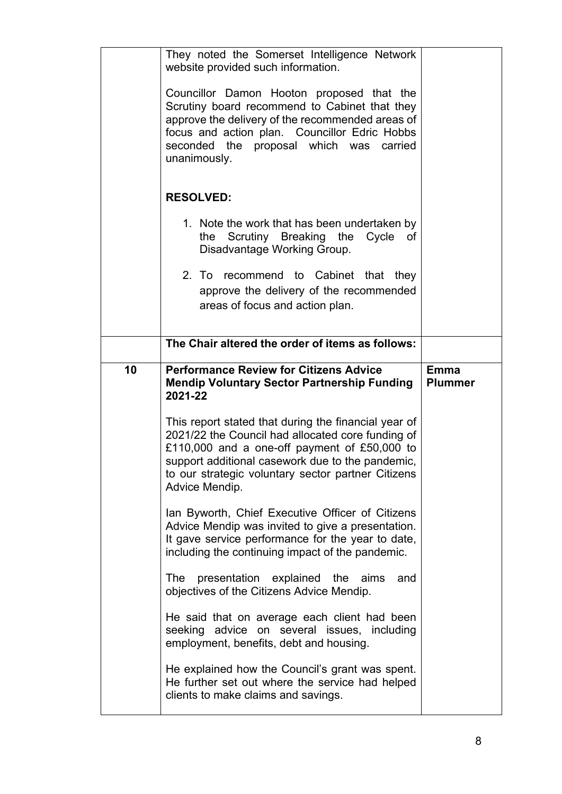|    | They noted the Somerset Intelligence Network<br>website provided such information.<br>Councillor Damon Hooton proposed that the<br>Scrutiny board recommend to Cabinet that they<br>approve the delivery of the recommended areas of<br>focus and action plan. Councillor Edric Hobbs<br>seconded the proposal which was carried<br>unanimously.<br><b>RESOLVED:</b><br>1. Note the work that has been undertaken by |                               |
|----|----------------------------------------------------------------------------------------------------------------------------------------------------------------------------------------------------------------------------------------------------------------------------------------------------------------------------------------------------------------------------------------------------------------------|-------------------------------|
|    | Scrutiny Breaking the Cycle<br>the<br>оf<br>Disadvantage Working Group.<br>2. To recommend to Cabinet that they<br>approve the delivery of the recommended<br>areas of focus and action plan.                                                                                                                                                                                                                        |                               |
|    | The Chair altered the order of items as follows:                                                                                                                                                                                                                                                                                                                                                                     |                               |
| 10 | <b>Performance Review for Citizens Advice</b><br><b>Mendip Voluntary Sector Partnership Funding</b><br>2021-22                                                                                                                                                                                                                                                                                                       | <b>Emma</b><br><b>Plummer</b> |
|    | This report stated that during the financial year of<br>2021/22 the Council had allocated core funding of<br>£110,000 and a one-off payment of £50,000 to<br>support additional casework due to the pandemic,<br>to our strategic voluntary sector partner Citizens<br>Advice Mendip.                                                                                                                                |                               |
|    | Ian Byworth, Chief Executive Officer of Citizens<br>Advice Mendip was invited to give a presentation.<br>It gave service performance for the year to date,<br>including the continuing impact of the pandemic.                                                                                                                                                                                                       |                               |
|    | The presentation explained the aims<br>and<br>objectives of the Citizens Advice Mendip.                                                                                                                                                                                                                                                                                                                              |                               |
|    | He said that on average each client had been<br>seeking advice on several issues, including<br>employment, benefits, debt and housing.                                                                                                                                                                                                                                                                               |                               |
|    | He explained how the Council's grant was spent.<br>He further set out where the service had helped<br>clients to make claims and savings.                                                                                                                                                                                                                                                                            |                               |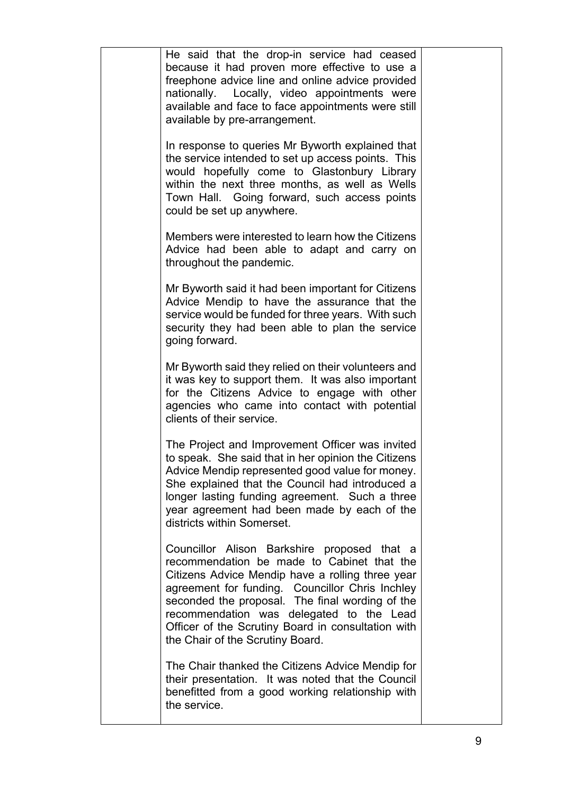| He said that the drop-in service had ceased<br>because it had proven more effective to use a<br>freephone advice line and online advice provided<br>nationally. Locally, video appointments were<br>available and face to face appointments were still<br>available by pre-arrangement.                                                                                                   |  |
|-------------------------------------------------------------------------------------------------------------------------------------------------------------------------------------------------------------------------------------------------------------------------------------------------------------------------------------------------------------------------------------------|--|
| In response to queries Mr Byworth explained that<br>the service intended to set up access points. This<br>would hopefully come to Glastonbury Library<br>within the next three months, as well as Wells<br>Town Hall. Going forward, such access points<br>could be set up anywhere.                                                                                                      |  |
| Members were interested to learn how the Citizens<br>Advice had been able to adapt and carry on<br>throughout the pandemic.                                                                                                                                                                                                                                                               |  |
| Mr Byworth said it had been important for Citizens<br>Advice Mendip to have the assurance that the<br>service would be funded for three years. With such<br>security they had been able to plan the service<br>going forward.                                                                                                                                                             |  |
| Mr Byworth said they relied on their volunteers and<br>it was key to support them. It was also important<br>for the Citizens Advice to engage with other<br>agencies who came into contact with potential<br>clients of their service.                                                                                                                                                    |  |
| The Project and Improvement Officer was invited<br>to speak. She said that in her opinion the Citizens<br>Advice Mendip represented good value for money.<br>She explained that the Council had introduced a<br>longer lasting funding agreement. Such a three<br>year agreement had been made by each of the<br>districts within Somerset.                                               |  |
| Councillor Alison Barkshire proposed that a<br>recommendation be made to Cabinet that the<br>Citizens Advice Mendip have a rolling three year<br>agreement for funding. Councillor Chris Inchley<br>seconded the proposal. The final wording of the<br>recommendation was delegated to the Lead<br>Officer of the Scrutiny Board in consultation with<br>the Chair of the Scrutiny Board. |  |
| The Chair thanked the Citizens Advice Mendip for<br>their presentation. It was noted that the Council<br>benefitted from a good working relationship with<br>the service.                                                                                                                                                                                                                 |  |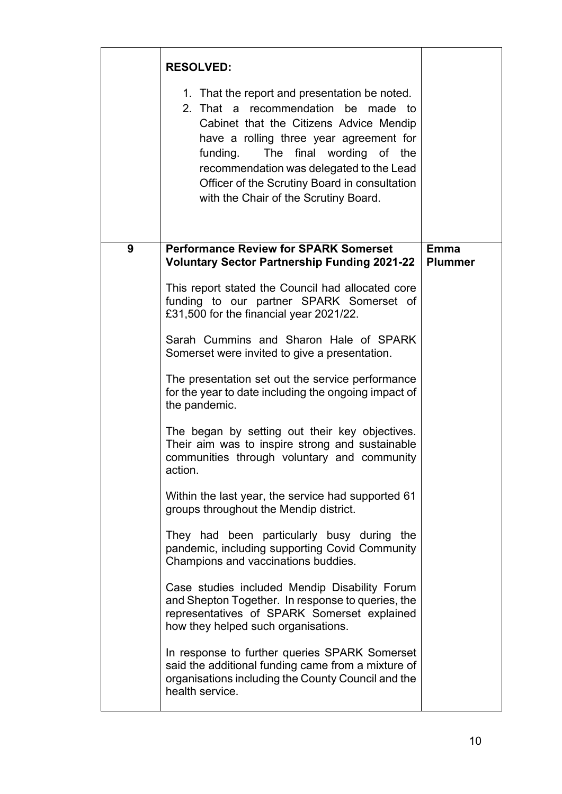|   | <b>RESOLVED:</b><br>1. That the report and presentation be noted.<br>2. That a recommendation be made to<br>Cabinet that the Citizens Advice Mendip<br>have a rolling three year agreement for<br>The final wording of the<br>funding.<br>recommendation was delegated to the Lead<br>Officer of the Scrutiny Board in consultation<br>with the Chair of the Scrutiny Board.                                                                                                                                                                                                                                                                                                                                                                                                                                                                                                                                                                                                                                                                                                                                                                                                                                                                              |                               |
|---|-----------------------------------------------------------------------------------------------------------------------------------------------------------------------------------------------------------------------------------------------------------------------------------------------------------------------------------------------------------------------------------------------------------------------------------------------------------------------------------------------------------------------------------------------------------------------------------------------------------------------------------------------------------------------------------------------------------------------------------------------------------------------------------------------------------------------------------------------------------------------------------------------------------------------------------------------------------------------------------------------------------------------------------------------------------------------------------------------------------------------------------------------------------------------------------------------------------------------------------------------------------|-------------------------------|
| 9 | <b>Performance Review for SPARK Somerset</b><br><b>Voluntary Sector Partnership Funding 2021-22</b><br>This report stated the Council had allocated core<br>funding to our partner SPARK Somerset of<br>£31,500 for the financial year 2021/22.<br>Sarah Cummins and Sharon Hale of SPARK<br>Somerset were invited to give a presentation.<br>The presentation set out the service performance<br>for the year to date including the ongoing impact of<br>the pandemic.<br>The began by setting out their key objectives.<br>Their aim was to inspire strong and sustainable<br>communities through voluntary and community<br>action.<br>Within the last year, the service had supported 61<br>groups throughout the Mendip district.<br>They had been particularly busy during the<br>pandemic, including supporting Covid Community<br>Champions and vaccinations buddies.<br>Case studies included Mendip Disability Forum<br>and Shepton Together. In response to queries, the<br>representatives of SPARK Somerset explained<br>how they helped such organisations.<br>In response to further queries SPARK Somerset<br>said the additional funding came from a mixture of<br>organisations including the County Council and the<br>health service. | <b>Emma</b><br><b>Plummer</b> |